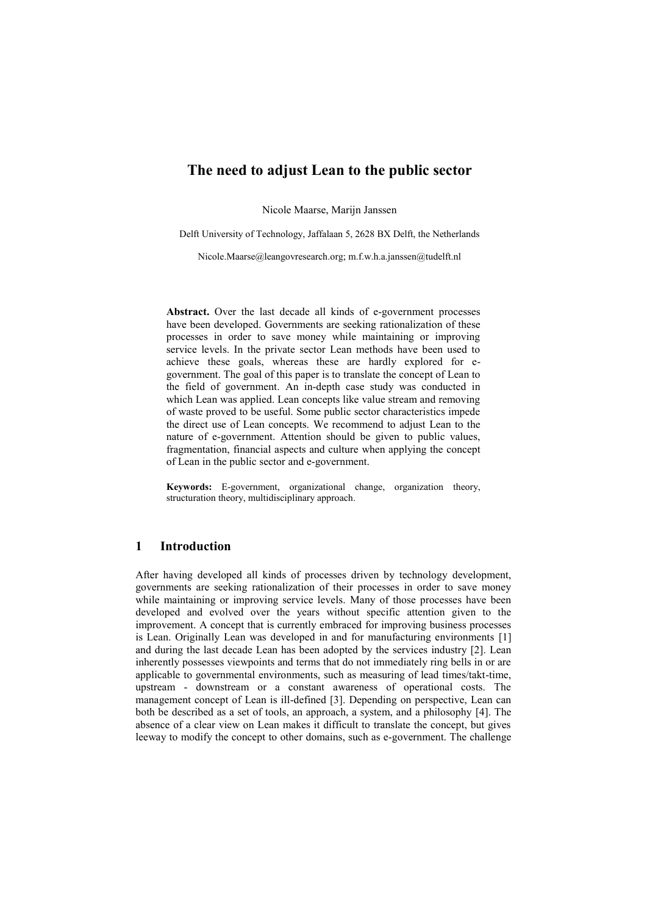# **The need to adjust Lean to the public sector**

Nicole Maarse, Marijn Janssen

Delft University of Technology, Jaffalaan 5, 2628 BX Delft, the Netherlands

Nicole.Maarse@leangovresearch.org; m.f.w.h.a.janssen@tudelft.nl

**Abstract.** Over the last decade all kinds of e-government processes have been developed. Governments are seeking rationalization of these processes in order to save money while maintaining or improving service levels. In the private sector Lean methods have been used to achieve these goals, whereas these are hardly explored for egovernment. The goal of this paper is to translate the concept of Lean to the field of government. An in-depth case study was conducted in which Lean was applied. Lean concepts like value stream and removing of waste proved to be useful. Some public sector characteristics impede the direct use of Lean concepts. We recommend to adjust Lean to the nature of e-government. Attention should be given to public values, fragmentation, financial aspects and culture when applying the concept of Lean in the public sector and e-government.

**Keywords:** E-government, organizational change, organization theory, structuration theory, multidisciplinary approach.

### **1 Introduction**

After having developed all kinds of processes driven by technology development, governments are seeking rationalization of their processes in order to save money while maintaining or improving service levels. Many of those processes have been developed and evolved over the years without specific attention given to the improvement. A concept that is currently embraced for improving business processes is Lean. Originally Lean was developed in and for manufacturing environments [\[1\]](#page-10-0) and during the last decade Lean has been adopted by the services industry [\[2\]](#page-10-1). Lean inherently possesses viewpoints and terms that do not immediately ring bells in or are applicable to governmental environments, such as measuring of lead times/takt-time, upstream - downstream or a constant awareness of operational costs. The management concept of Lean is ill-defined [\[3\]](#page-10-2). Depending on perspective, Lean can both be described as a set of tools, an approach, a system, and a philosophy [\[4\]](#page-10-3). The absence of a clear view on Lean makes it difficult to translate the concept, but gives leeway to modify the concept to other domains, such as e-government. The challenge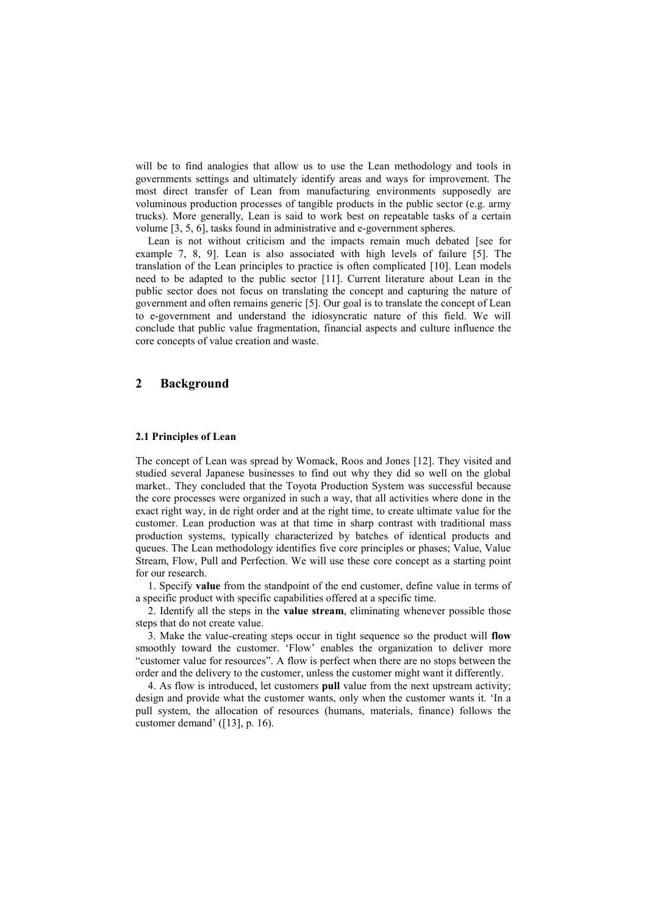will be to find analogies that allow us to use the Lean methodology and tools in governments settings and ultimately identify areas and ways for improvement. The most direct transfer of Lean from manufacturing environments supposedly are voluminous production processes of tangible products in the public sector (e.g. army trucks). More generally, Lean is said to work best on repeatable tasks of a certain volume [\[3,](#page-10-2) [5,](#page-10-4) [6\]](#page-10-5), tasks found in administrative and e-government spheres.

Lean is not without criticism and the impacts remain much debated [see for example [7,](#page-10-6) [8,](#page-10-7) [9\]](#page-10-8). Lean is also associated with high levels of failure [\[5\]](#page-10-4). The translation of the Lean principles to practice is often complicated [\[10\]](#page-10-9). Lean models need to be adapted to the public sector [\[11\]](#page-10-10). Current literature about Lean in the public sector does not focus on translating the concept and capturing the nature of government and often remains generic [\[5\]](#page-10-4). Our goal is to translate the concept of Lean to e-government and understand the idiosyncratic nature of this field. We will conclude that public value fragmentation, financial aspects and culture influence the core concepts of value creation and waste.

### **2 Background**

#### **2.1 Principles of Lean**

The concept of Lean was spread by Womack, Roos and Jones [\[12\]](#page-11-0). They visited and studied several Japanese businesses to find out why they did so well on the global market.. They concluded that the Toyota Production System was successful because the core processes were organized in such a way, that all activities where done in the exact right way, in de right order and at the right time, to create ultimate value for the customer. Lean production was at that time in sharp contrast with traditional mass production systems, typically characterized by batches of identical products and queues. The Lean methodology identifies five core principles or phases; Value, Value Stream, Flow, Pull and Perfection. We will use these core concept as a starting point for our research.

1. Specify **value** from the standpoint of the end customer, define value in terms of a specific product with specific capabilities offered at a specific time.

2. Identify all the steps in the **value stream**, eliminating whenever possible those steps that do not create value.

3. Make the value-creating steps occur in tight sequence so the product will **flow** smoothly toward the customer. 'Flow' enables the organization to deliver more "customer value for resources". A flow is perfect when there are no stops between the order and the delivery to the customer, unless the customer might want it differently.

4. As flow is introduced, let customers **pull** value from the next upstream activity; design and provide what the customer wants, only when the customer wants it. 'In a pull system, the allocation of resources (humans, materials, finance) follows the customer demand' ([\[13\]](#page-11-1), p. 16).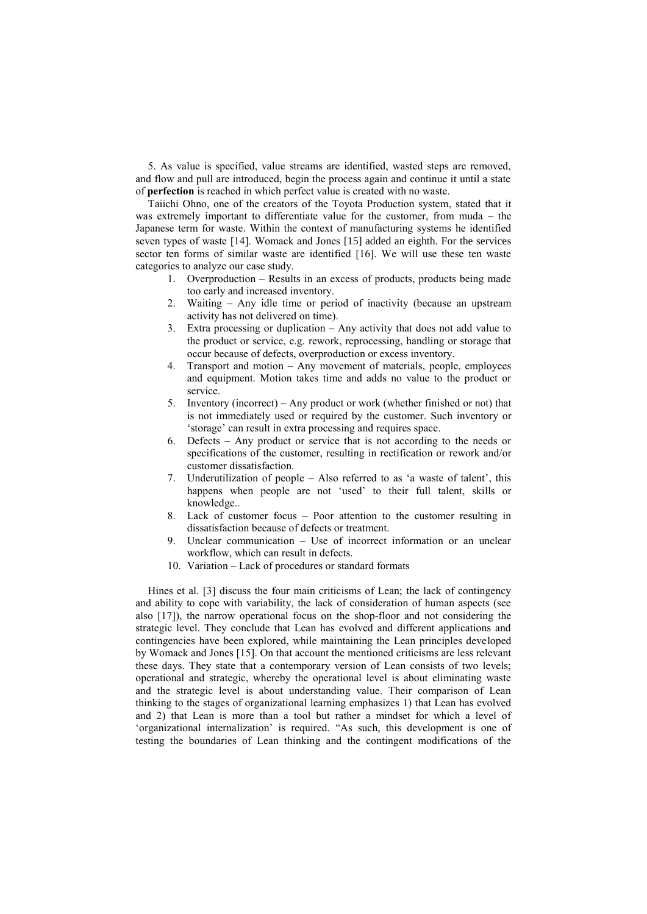5. As value is specified, value streams are identified, wasted steps are removed, and flow and pull are introduced, begin the process again and continue it until a state of **perfection** is reached in which perfect value is created with no waste.

Taiichi Ohno, one of the creators of the Toyota Production system, stated that it was extremely important to differentiate value for the customer, from muda – the Japanese term for waste. Within the context of manufacturing systems he identified seven types of waste [\[14\]](#page-11-2). Womack and Jones [\[15\]](#page-11-3) added an eighth. For the services sector ten forms of similar waste are identified [\[16\]](#page-11-4). We will use these ten waste categories to analyze our case study.

- 1. Overproduction Results in an excess of products, products being made too early and increased inventory.
- 2. Waiting Any idle time or period of inactivity (because an upstream activity has not delivered on time).
- 3. Extra processing or duplication Any activity that does not add value to the product or service, e.g. rework, reprocessing, handling or storage that occur because of defects, overproduction or excess inventory.
- 4. Transport and motion Any movement of materials, people, employees and equipment. Motion takes time and adds no value to the product or service.
- 5. Inventory (incorrect) Any product or work (whether finished or not) that is not immediately used or required by the customer. Such inventory or 'storage' can result in extra processing and requires space.
- 6. Defects Any product or service that is not according to the needs or specifications of the customer, resulting in rectification or rework and/or customer dissatisfaction.
- 7. Underutilization of people Also referred to as 'a waste of talent', this happens when people are not 'used' to their full talent, skills or knowledge..
- 8. Lack of customer focus Poor attention to the customer resulting in dissatisfaction because of defects or treatment.
- 9. Unclear communication Use of incorrect information or an unclear workflow, which can result in defects.
- 10. Variation Lack of procedures or standard formats

Hines et al. [\[3\]](#page-10-2) discuss the four main criticisms of Lean; the lack of contingency and ability to cope with variability, the lack of consideration of human aspects (see also [\[17\]](#page-11-5)), the narrow operational focus on the shop-floor and not considering the strategic level. They conclude that Lean has evolved and different applications and contingencies have been explored, while maintaining the Lean principles developed by Womack and Jones [\[15\]](#page-11-3). On that account the mentioned criticisms are less relevant these days. They state that a contemporary version of Lean consists of two levels; operational and strategic, whereby the operational level is about eliminating waste and the strategic level is about understanding value. Their comparison of Lean thinking to the stages of organizational learning emphasizes 1) that Lean has evolved and 2) that Lean is more than a tool but rather a mindset for which a level of 'organizational internalization' is required. "As such, this development is one of testing the boundaries of Lean thinking and the contingent modifications of the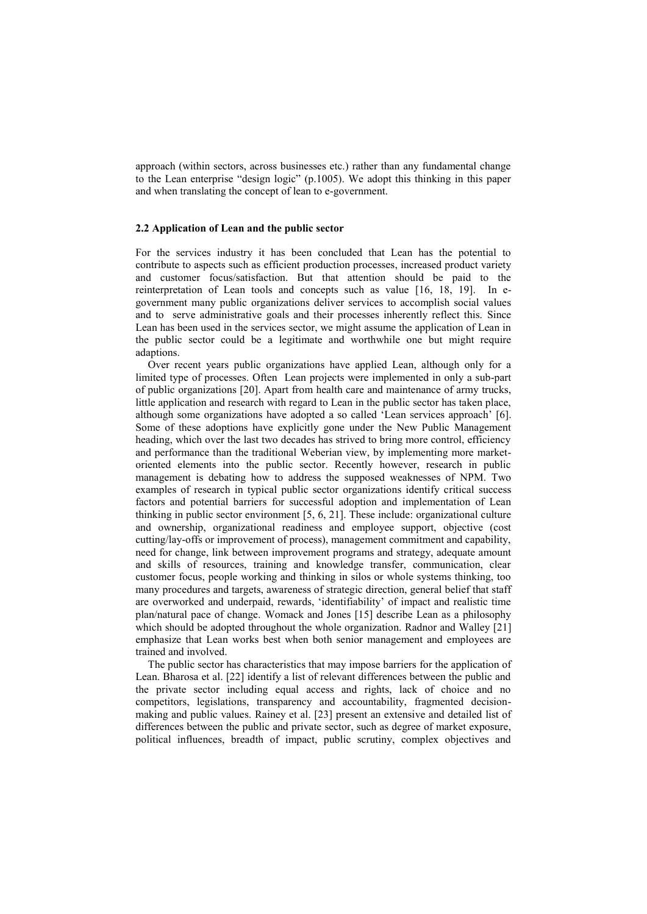approach (within sectors, across businesses etc.) rather than any fundamental change to the Lean enterprise "design logic" (p.1005). We adopt this thinking in this paper and when translating the concept of lean to e-government.

#### **2.2 Application of Lean and the public sector**

For the services industry it has been concluded that Lean has the potential to contribute to aspects such as efficient production processes, increased product variety and customer focus/satisfaction. But that attention should be paid to the reinterpretation of Lean tools and concepts such as value [\[16,](#page-11-4) [18,](#page-11-6) [19\]](#page-11-7). In egovernment many public organizations deliver services to accomplish social values and to serve administrative goals and their processes inherently reflect this. Since Lean has been used in the services sector, we might assume the application of Lean in the public sector could be a legitimate and worthwhile one but might require adaptions.

Over recent years public organizations have applied Lean, although only for a limited type of processes. Often Lean projects were implemented in only a sub-part of public organizations [\[20\]](#page-11-8). Apart from health care and maintenance of army trucks, little application and research with regard to Lean in the public sector has taken place, although some organizations have adopted a so called 'Lean services approach' [\[6\]](#page-10-5). Some of these adoptions have explicitly gone under the New Public Management heading, which over the last two decades has strived to bring more control, efficiency and performance than the traditional Weberian view, by implementing more marketoriented elements into the public sector. Recently however, research in public management is debating how to address the supposed weaknesses of NPM. Two examples of research in typical public sector organizations identify critical success factors and potential barriers for successful adoption and implementation of Lean thinking in public sector environment [\[5,](#page-10-4) [6,](#page-10-5) [21\]](#page-11-9). These include: organizational culture and ownership, organizational readiness and employee support, objective (cost cutting/lay-offs or improvement of process), management commitment and capability, need for change, link between improvement programs and strategy, adequate amount and skills of resources, training and knowledge transfer, communication, clear customer focus, people working and thinking in silos or whole systems thinking, too many procedures and targets, awareness of strategic direction, general belief that staff are overworked and underpaid, rewards, 'identifiability' of impact and realistic time plan/natural pace of change. Womack and Jones [\[15\]](#page-11-3) describe Lean as a philosophy which should be adopted throughout the whole organization. Radnor and Walley [\[21\]](#page-11-9) emphasize that Lean works best when both senior management and employees are trained and involved.

The public sector has characteristics that may impose barriers for the application of Lean. Bharosa et al. [\[22\]](#page-11-10) identify a list of relevant differences between the public and the private sector including equal access and rights, lack of choice and no competitors, legislations, transparency and accountability, fragmented decisionmaking and public values. Rainey et al. [\[23\]](#page-11-11) present an extensive and detailed list of differences between the public and private sector, such as degree of market exposure, political influences, breadth of impact, public scrutiny, complex objectives and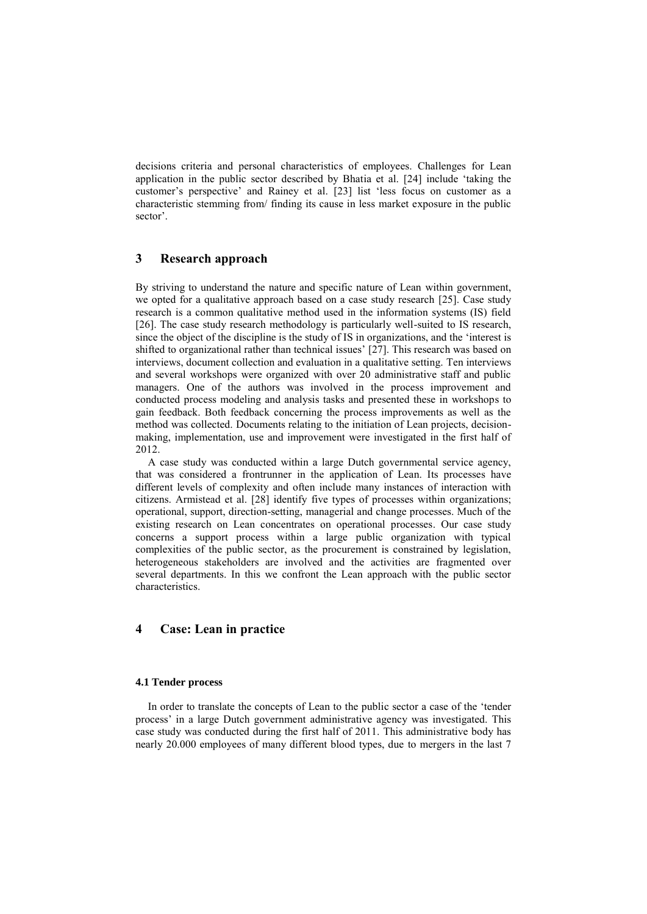decisions criteria and personal characteristics of employees. Challenges for Lean application in the public sector described by Bhatia et al. [\[24\]](#page-11-12) include 'taking the customer's perspective' and Rainey et al. [\[23\]](#page-11-11) list 'less focus on customer as a characteristic stemming from/ finding its cause in less market exposure in the public sector'.

### **3 Research approach**

By striving to understand the nature and specific nature of Lean within government, we opted for a qualitative approach based on a case study research [\[25\]](#page-11-13). Case study research is a common qualitative method used in the information systems (IS) field [\[26\]](#page-11-14). The case study research methodology is particularly well-suited to IS research, since the object of the discipline is the study of IS in organizations, and the 'interest is shifted to organizational rather than technical issues' [\[27\]](#page-11-15). This research was based on interviews, document collection and evaluation in a qualitative setting. Ten interviews and several workshops were organized with over 20 administrative staff and public managers. One of the authors was involved in the process improvement and conducted process modeling and analysis tasks and presented these in workshops to gain feedback. Both feedback concerning the process improvements as well as the method was collected. Documents relating to the initiation of Lean projects, decisionmaking, implementation, use and improvement were investigated in the first half of 2012.

A case study was conducted within a large Dutch governmental service agency, that was considered a frontrunner in the application of Lean. Its processes have different levels of complexity and often include many instances of interaction with citizens. Armistead et al. [\[28\]](#page-11-16) identify five types of processes within organizations; operational, support, direction-setting, managerial and change processes. Much of the existing research on Lean concentrates on operational processes. Our case study concerns a support process within a large public organization with typical complexities of the public sector, as the procurement is constrained by legislation, heterogeneous stakeholders are involved and the activities are fragmented over several departments. In this we confront the Lean approach with the public sector characteristics.

### **4 Case: Lean in practice**

#### **4.1 Tender process**

In order to translate the concepts of Lean to the public sector a case of the 'tender process' in a large Dutch government administrative agency was investigated. This case study was conducted during the first half of 2011. This administrative body has nearly 20.000 employees of many different blood types, due to mergers in the last 7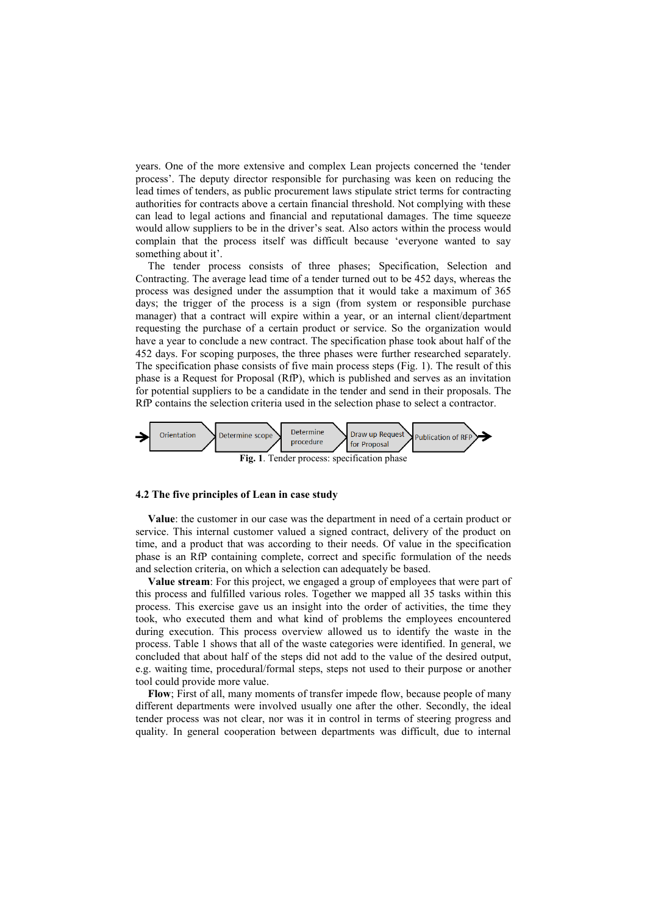years. One of the more extensive and complex Lean projects concerned the 'tender process'. The deputy director responsible for purchasing was keen on reducing the lead times of tenders, as public procurement laws stipulate strict terms for contracting authorities for contracts above a certain financial threshold. Not complying with these can lead to legal actions and financial and reputational damages. The time squeeze would allow suppliers to be in the driver's seat. Also actors within the process would complain that the process itself was difficult because 'everyone wanted to say something about it'.

The tender process consists of three phases; Specification, Selection and Contracting. The average lead time of a tender turned out to be 452 days, whereas the process was designed under the assumption that it would take a maximum of 365 days; the trigger of the process is a sign (from system or responsible purchase manager) that a contract will expire within a year, or an internal client/department requesting the purchase of a certain product or service. So the organization would have a year to conclude a new contract. The specification phase took about half of the 452 days. For scoping purposes, the three phases were further researched separately. The specification phase consists of five main process steps (Fig. 1). The result of this phase is a Request for Proposal (RfP), which is published and serves as an invitation for potential suppliers to be a candidate in the tender and send in their proposals. The RfP contains the selection criteria used in the selection phase to select a contractor.



#### **4.2 The five principles of Lean in case study**

**Value**: the customer in our case was the department in need of a certain product or service. This internal customer valued a signed contract, delivery of the product on time, and a product that was according to their needs. Of value in the specification phase is an RfP containing complete, correct and specific formulation of the needs and selection criteria, on which a selection can adequately be based.

**Value stream**: For this project, we engaged a group of employees that were part of this process and fulfilled various roles. Together we mapped all 35 tasks within this process. This exercise gave us an insight into the order of activities, the time they took, who executed them and what kind of problems the employees encountered during execution. This process overview allowed us to identify the waste in the process. Table 1 shows that all of the waste categories were identified. In general, we concluded that about half of the steps did not add to the value of the desired output, e.g. waiting time, procedural/formal steps, steps not used to their purpose or another tool could provide more value.

**Flow**; First of all, many moments of transfer impede flow, because people of many different departments were involved usually one after the other. Secondly, the ideal tender process was not clear, nor was it in control in terms of steering progress and quality. In general cooperation between departments was difficult, due to internal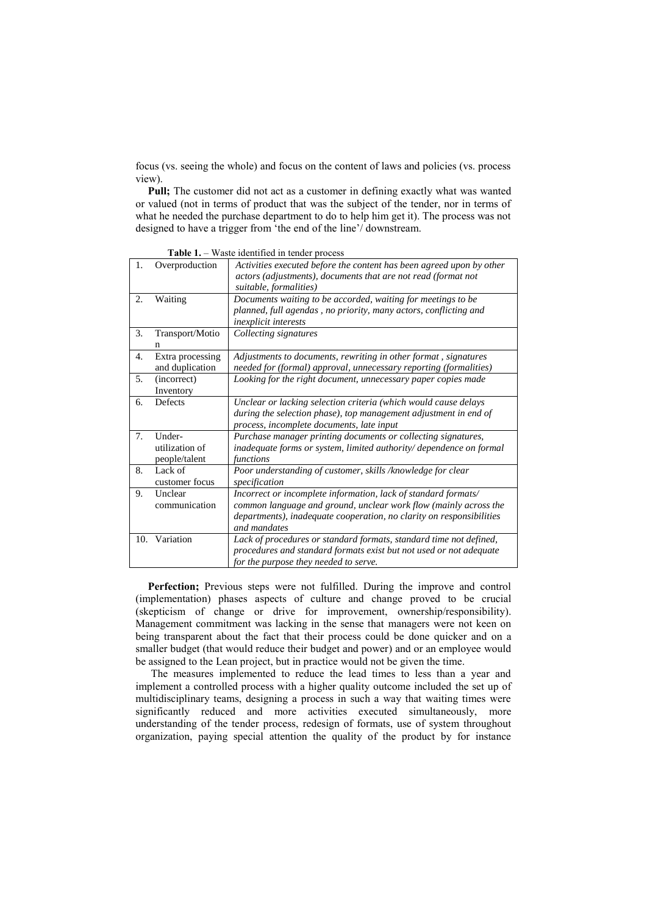focus (vs. seeing the whole) and focus on the content of laws and policies (vs. process view).

**Pull;** The customer did not act as a customer in defining exactly what was wanted or valued (not in terms of product that was the subject of the tender, nor in terms of what he needed the purchase department to do to help him get it). The process was not designed to have a trigger from 'the end of the line'/ downstream.

| 1.  | Overproduction                            | Activities executed before the content has been agreed upon by other<br>actors (adjustments), documents that are not read (format not<br>suitable, formalities)                                                            |
|-----|-------------------------------------------|----------------------------------------------------------------------------------------------------------------------------------------------------------------------------------------------------------------------------|
| 2.  | Waiting                                   | Documents waiting to be accorded, waiting for meetings to be<br>planned, full agendas, no priority, many actors, conflicting and<br><i>inexplicit interests</i>                                                            |
| 3.  | Transport/Motio<br>n                      | Collecting signatures                                                                                                                                                                                                      |
| 4.  | Extra processing<br>and duplication       | Adjustments to documents, rewriting in other format, signatures<br>needed for (formal) approval, unnecessary reporting (formalities)                                                                                       |
| 5.  | (incorrect)<br>Inventory                  | Looking for the right document, unnecessary paper copies made                                                                                                                                                              |
| 6.  | Defects                                   | Unclear or lacking selection criteria (which would cause delays<br>during the selection phase), top management adjustment in end of<br>process, incomplete documents, late input                                           |
| 7.  | Under-<br>utilization of<br>people/talent | Purchase manager printing documents or collecting signatures,<br>inadequate forms or system, limited authority/dependence on formal<br>functions                                                                           |
| 8.  | Lack of<br>customer focus                 | Poor understanding of customer, skills /knowledge for clear<br>specification                                                                                                                                               |
| 9.  | Unclear<br>communication                  | Incorrect or incomplete information, lack of standard formats/<br>common language and ground, unclear work flow (mainly across the<br>departments), inadequate cooperation, no clarity on responsibilities<br>and mandates |
| 10. | Variation                                 | Lack of procedures or standard formats, standard time not defined,<br>procedures and standard formats exist but not used or not adequate<br>for the purpose they needed to serve.                                          |

**Table 1.** – Waste identified in tender process

Perfection; Previous steps were not fulfilled. During the improve and control (implementation) phases aspects of culture and change proved to be crucial (skepticism of change or drive for improvement, ownership/responsibility). Management commitment was lacking in the sense that managers were not keen on being transparent about the fact that their process could be done quicker and on a smaller budget (that would reduce their budget and power) and or an employee would be assigned to the Lean project, but in practice would not be given the time.

The measures implemented to reduce the lead times to less than a year and implement a controlled process with a higher quality outcome included the set up of multidisciplinary teams, designing a process in such a way that waiting times were significantly reduced and more activities executed simultaneously, more understanding of the tender process, redesign of formats, use of system throughout organization, paying special attention the quality of the product by for instance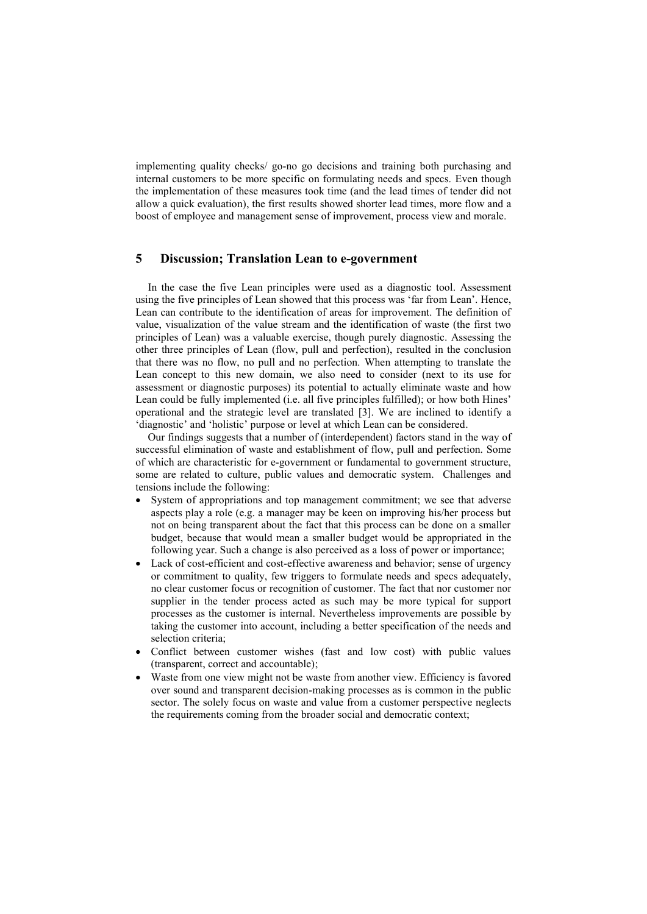implementing quality checks/ go-no go decisions and training both purchasing and internal customers to be more specific on formulating needs and specs. Even though the implementation of these measures took time (and the lead times of tender did not allow a quick evaluation), the first results showed shorter lead times, more flow and a boost of employee and management sense of improvement, process view and morale.

## **5 Discussion; Translation Lean to e-government**

In the case the five Lean principles were used as a diagnostic tool. Assessment using the five principles of Lean showed that this process was 'far from Lean'. Hence, Lean can contribute to the identification of areas for improvement. The definition of value, visualization of the value stream and the identification of waste (the first two principles of Lean) was a valuable exercise, though purely diagnostic. Assessing the other three principles of Lean (flow, pull and perfection), resulted in the conclusion that there was no flow, no pull and no perfection. When attempting to translate the Lean concept to this new domain, we also need to consider (next to its use for assessment or diagnostic purposes) its potential to actually eliminate waste and how Lean could be fully implemented (i.e. all five principles fulfilled); or how both Hines' operational and the strategic level are translated [\[3\]](#page-10-2). We are inclined to identify a 'diagnostic' and 'holistic' purpose or level at which Lean can be considered.

Our findings suggests that a number of (interdependent) factors stand in the way of successful elimination of waste and establishment of flow, pull and perfection. Some of which are characteristic for e-government or fundamental to government structure, some are related to culture, public values and democratic system. Challenges and tensions include the following:

- System of appropriations and top management commitment; we see that adverse aspects play a role (e.g. a manager may be keen on improving his/her process but not on being transparent about the fact that this process can be done on a smaller budget, because that would mean a smaller budget would be appropriated in the following year. Such a change is also perceived as a loss of power or importance;
- Lack of cost-efficient and cost-effective awareness and behavior; sense of urgency or commitment to quality, few triggers to formulate needs and specs adequately, no clear customer focus or recognition of customer. The fact that nor customer nor supplier in the tender process acted as such may be more typical for support processes as the customer is internal. Nevertheless improvements are possible by taking the customer into account, including a better specification of the needs and selection criteria;
- Conflict between customer wishes (fast and low cost) with public values (transparent, correct and accountable);
- Waste from one view might not be waste from another view. Efficiency is favored over sound and transparent decision-making processes as is common in the public sector. The solely focus on waste and value from a customer perspective neglects the requirements coming from the broader social and democratic context;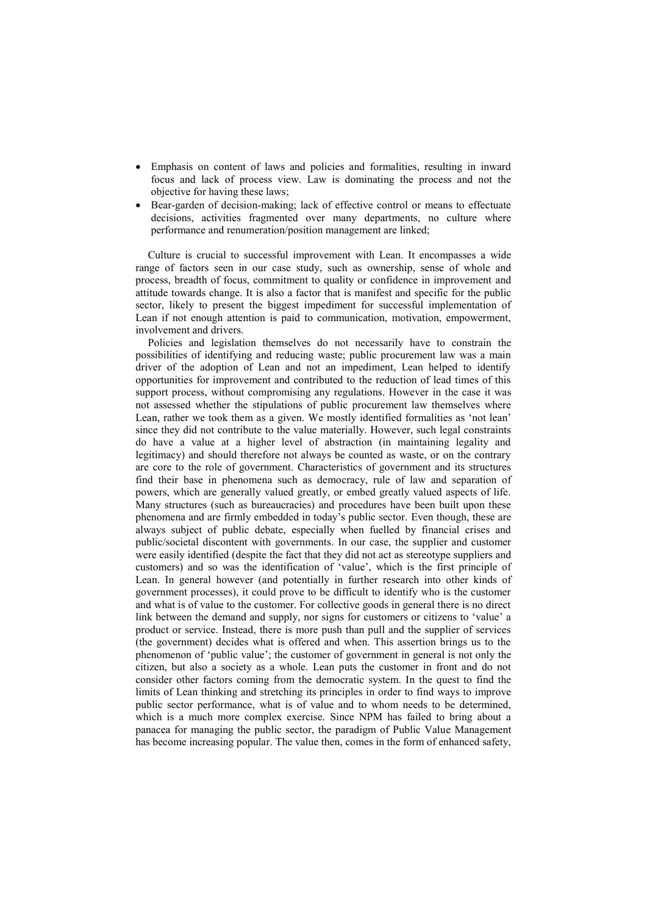- Emphasis on content of laws and policies and formalities, resulting in inward focus and lack of process view. Law is dominating the process and not the objective for having these laws;
- Bear-garden of decision-making; lack of effective control or means to effectuate decisions, activities fragmented over many departments, no culture where performance and renumeration/position management are linked;

Culture is crucial to successful improvement with Lean. It encompasses a wide range of factors seen in our case study, such as ownership, sense of whole and process, breadth of focus, commitment to quality or confidence in improvement and attitude towards change. It is also a factor that is manifest and specific for the public sector, likely to present the biggest impediment for successful implementation of Lean if not enough attention is paid to communication, motivation, empowerment, involvement and drivers.

Policies and legislation themselves do not necessarily have to constrain the possibilities of identifying and reducing waste; public procurement law was a main driver of the adoption of Lean and not an impediment, Lean helped to identify opportunities for improvement and contributed to the reduction of lead times of this support process, without compromising any regulations. However in the case it was not assessed whether the stipulations of public procurement law themselves where Lean, rather we took them as a given. We mostly identified formalities as 'not lean' since they did not contribute to the value materially. However, such legal constraints do have a value at a higher level of abstraction (in maintaining legality and legitimacy) and should therefore not always be counted as waste, or on the contrary are core to the role of government. Characteristics of government and its structures find their base in phenomena such as democracy, rule of law and separation of powers, which are generally valued greatly, or embed greatly valued aspects of life. Many structures (such as bureaucracies) and procedures have been built upon these phenomena and are firmly embedded in today's public sector. Even though, these are always subject of public debate, especially when fuelled by financial crises and public/societal discontent with governments. In our case, the supplier and customer were easily identified (despite the fact that they did not act as stereotype suppliers and customers) and so was the identification of 'value', which is the first principle of Lean. In general however (and potentially in further research into other kinds of government processes), it could prove to be difficult to identify who is the customer and what is of value to the customer. For collective goods in general there is no direct link between the demand and supply, nor signs for customers or citizens to 'value' a product or service. Instead, there is more push than pull and the supplier of services (the government) decides what is offered and when. This assertion brings us to the phenomenon of 'public value'; the customer of government in general is not only the citizen, but also a society as a whole. Lean puts the customer in front and do not consider other factors coming from the democratic system. In the quest to find the limits of Lean thinking and stretching its principles in order to find ways to improve public sector performance, what is of value and to whom needs to be determined, which is a much more complex exercise. Since NPM has failed to bring about a panacea for managing the public sector, the paradigm of Public Value Management has become increasing popular. The value then, comes in the form of enhanced safety,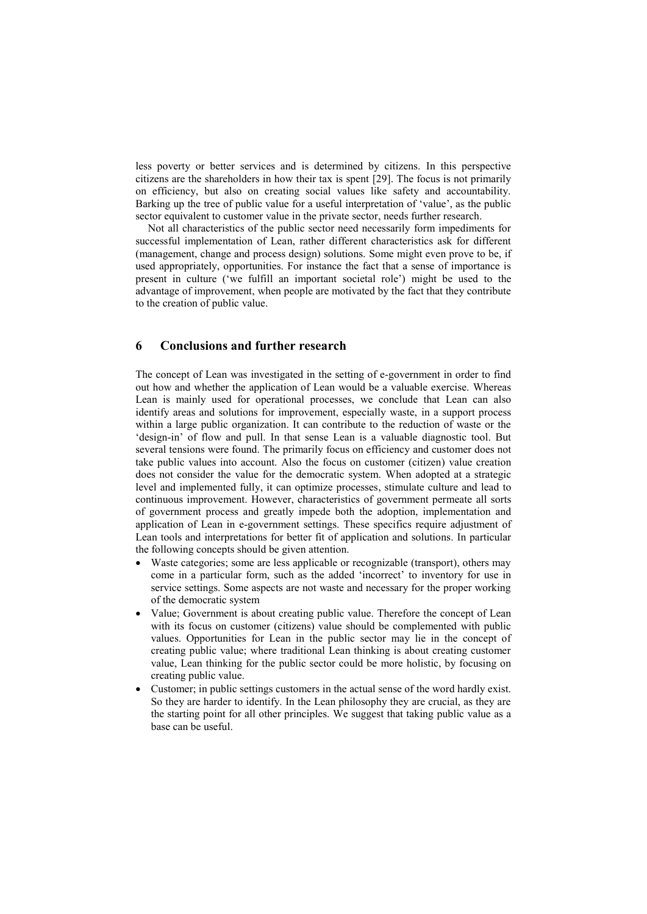less poverty or better services and is determined by citizens. In this perspective citizens are the shareholders in how their tax is spent [\[29\]](#page-11-17). The focus is not primarily on efficiency, but also on creating social values like safety and accountability. Barking up the tree of public value for a useful interpretation of 'value', as the public sector equivalent to customer value in the private sector, needs further research.

Not all characteristics of the public sector need necessarily form impediments for successful implementation of Lean, rather different characteristics ask for different (management, change and process design) solutions. Some might even prove to be, if used appropriately, opportunities. For instance the fact that a sense of importance is present in culture ('we fulfill an important societal role') might be used to the advantage of improvement, when people are motivated by the fact that they contribute to the creation of public value.

### **6 Conclusions and further research**

The concept of Lean was investigated in the setting of e-government in order to find out how and whether the application of Lean would be a valuable exercise. Whereas Lean is mainly used for operational processes, we conclude that Lean can also identify areas and solutions for improvement, especially waste, in a support process within a large public organization. It can contribute to the reduction of waste or the 'design-in' of flow and pull. In that sense Lean is a valuable diagnostic tool. But several tensions were found. The primarily focus on efficiency and customer does not take public values into account. Also the focus on customer (citizen) value creation does not consider the value for the democratic system. When adopted at a strategic level and implemented fully, it can optimize processes, stimulate culture and lead to continuous improvement. However, characteristics of government permeate all sorts of government process and greatly impede both the adoption, implementation and application of Lean in e-government settings. These specifics require adjustment of Lean tools and interpretations for better fit of application and solutions. In particular the following concepts should be given attention.

- Waste categories; some are less applicable or recognizable (transport), others may come in a particular form, such as the added 'incorrect' to inventory for use in service settings. Some aspects are not waste and necessary for the proper working of the democratic system
- Value; Government is about creating public value. Therefore the concept of Lean with its focus on customer (citizens) value should be complemented with public values. Opportunities for Lean in the public sector may lie in the concept of creating public value; where traditional Lean thinking is about creating customer value, Lean thinking for the public sector could be more holistic, by focusing on creating public value.
- Customer; in public settings customers in the actual sense of the word hardly exist. So they are harder to identify. In the Lean philosophy they are crucial, as they are the starting point for all other principles. We suggest that taking public value as a base can be useful.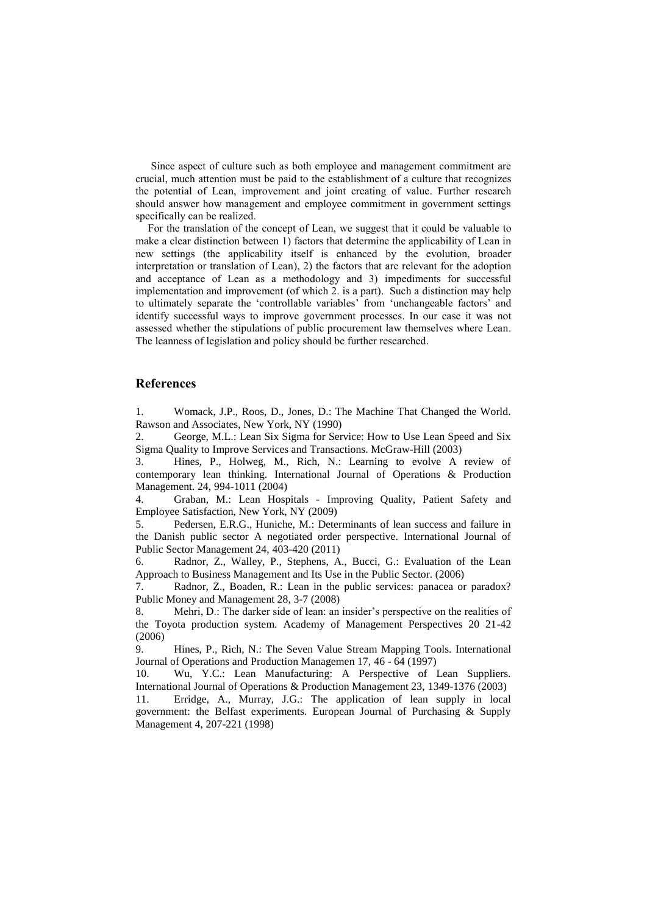Since aspect of culture such as both employee and management commitment are crucial, much attention must be paid to the establishment of a culture that recognizes the potential of Lean, improvement and joint creating of value. Further research should answer how management and employee commitment in government settings specifically can be realized.

For the translation of the concept of Lean, we suggest that it could be valuable to make a clear distinction between 1) factors that determine the applicability of Lean in new settings (the applicability itself is enhanced by the evolution, broader interpretation or translation of Lean), 2) the factors that are relevant for the adoption and acceptance of Lean as a methodology and 3) impediments for successful implementation and improvement (of which 2. is a part). Such a distinction may help to ultimately separate the 'controllable variables' from 'unchangeable factors' and identify successful ways to improve government processes. In our case it was not assessed whether the stipulations of public procurement law themselves where Lean. The leanness of legislation and policy should be further researched.

#### **References**

<span id="page-10-0"></span>1. Womack, J.P., Roos, D., Jones, D.: The Machine That Changed the World. Rawson and Associates, New York, NY (1990)

<span id="page-10-1"></span>2. George, M.L.: Lean Six Sigma for Service: How to Use Lean Speed and Six Sigma Quality to Improve Services and Transactions. McGraw-Hill (2003)

<span id="page-10-2"></span>3. Hines, P., Holweg, M., Rich, N.: Learning to evolve A review of contemporary lean thinking. International Journal of Operations & Production Management. 24, 994-1011 (2004)

<span id="page-10-3"></span>4. Graban, M.: Lean Hospitals - Improving Quality, Patient Safety and Employee Satisfaction, New York, NY (2009)

<span id="page-10-4"></span>5. Pedersen, E.R.G., Huniche, M.: Determinants of lean success and failure in the Danish public sector A negotiated order perspective. International Journal of Public Sector Management 24, 403-420 (2011)

<span id="page-10-5"></span>6. Radnor, Z., Walley, P., Stephens, A., Bucci, G.: Evaluation of the Lean Approach to Business Management and Its Use in the Public Sector. (2006)

<span id="page-10-6"></span>7. Radnor, Z., Boaden, R.: Lean in the public services: panacea or paradox? Public Money and Management 28, 3-7 (2008)

<span id="page-10-7"></span>8. Mehri, D.: The darker side of lean: an insider's perspective on the realities of the Toyota production system. Academy of Management Perspectives 20 21-42 (2006)

<span id="page-10-8"></span>9. Hines, P., Rich, N.: The Seven Value Stream Mapping Tools. International Journal of Operations and Production Managemen 17, 46 - 64 (1997)

<span id="page-10-10"></span><span id="page-10-9"></span>10. Wu, Y.C.: Lean Manufacturing: A Perspective of Lean Suppliers. International Journal of Operations & Production Management 23, 1349-1376 (2003) 11. Erridge, A., Murray, J.G.: The application of lean supply in local government: the Belfast experiments. European Journal of Purchasing & Supply Management 4, 207-221 (1998)